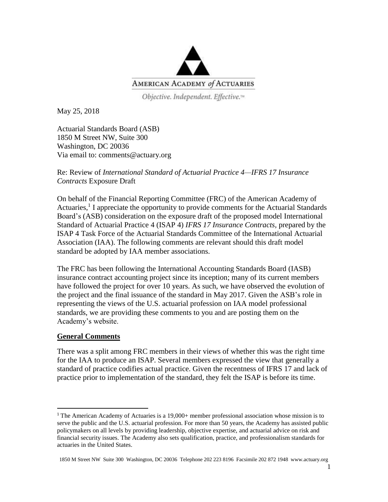

Objective. Independent. Effective.<sup>14</sup>

May 25, 2018

Actuarial Standards Board (ASB) 1850 M Street NW, Suite 300 Washington, DC 20036 Via email to: comments@actuary.org

## Re: Review of *International Standard of Actuarial Practice 4—IFRS 17 Insurance Contracts* Exposure Draft

On behalf of the Financial Reporting Committee (FRC) of the American Academy of Actuaries, 1 I appreciate the opportunity to provide comments for the Actuarial Standards Board's (ASB) consideration on the exposure draft of the proposed model International Standard of Actuarial Practice 4 (ISAP 4) *IFRS 17 Insurance Contracts,* prepared by the ISAP 4 Task Force of the Actuarial Standards Committee of the International Actuarial Association (IAA). The following comments are relevant should this draft model standard be adopted by IAA member associations.

The FRC has been following the International Accounting Standards Board (IASB) insurance contract accounting project since its inception; many of its current members have followed the project for over 10 years. As such, we have observed the evolution of the project and the final issuance of the standard in May 2017. Given the ASB's role in representing the views of the U.S. actuarial profession on IAA model professional standards, we are providing these comments to you and are posting them on the Academy's website.

# **General Comments**

 $\overline{\phantom{a}}$ 

There was a split among FRC members in their views of whether this was the right time for the IAA to produce an ISAP. Several members expressed the view that generally a standard of practice codifies actual practice. Given the recentness of IFRS 17 and lack of practice prior to implementation of the standard, they felt the ISAP is before its time.

<sup>&</sup>lt;sup>1</sup> The American Academy of Actuaries is a  $19,000+$  member professional association whose mission is to serve the public and the U.S. actuarial profession. For more than 50 years, the Academy has assisted public policymakers on all levels by providing leadership, objective expertise, and actuarial advice on risk and financial security issues. The Academy also sets qualification, practice, and professionalism standards for actuaries in the United States.

<sup>1850</sup> M Street NW Suite 300 Washington, DC 20036 Telephone 202 223 8196 Facsimile 202 872 1948 www.actuary.org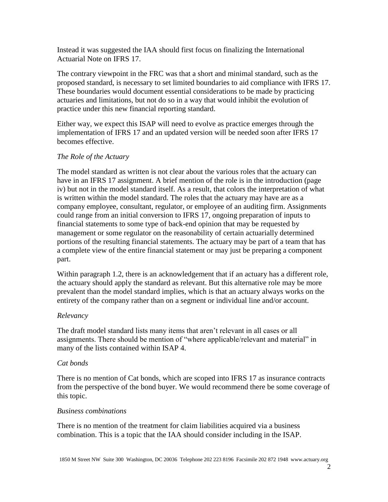Instead it was suggested the IAA should first focus on finalizing the International Actuarial Note on IFRS 17.

The contrary viewpoint in the FRC was that a short and minimal standard, such as the proposed standard, is necessary to set limited boundaries to aid compliance with IFRS 17. These boundaries would document essential considerations to be made by practicing actuaries and limitations, but not do so in a way that would inhibit the evolution of practice under this new financial reporting standard.

Either way, we expect this ISAP will need to evolve as practice emerges through the implementation of IFRS 17 and an updated version will be needed soon after IFRS 17 becomes effective.

### *The Role of the Actuary*

The model standard as written is not clear about the various roles that the actuary can have in an IFRS 17 assignment. A brief mention of the role is in the introduction (page iv) but not in the model standard itself. As a result, that colors the interpretation of what is written within the model standard. The roles that the actuary may have are as a company employee, consultant, regulator, or employee of an auditing firm. Assignments could range from an initial conversion to IFRS 17, ongoing preparation of inputs to financial statements to some type of back-end opinion that may be requested by management or some regulator on the reasonability of certain actuarially determined portions of the resulting financial statements. The actuary may be part of a team that has a complete view of the entire financial statement or may just be preparing a component part.

Within paragraph 1.2, there is an acknowledgement that if an actuary has a different role, the actuary should apply the standard as relevant. But this alternative role may be more prevalent than the model standard implies, which is that an actuary always works on the entirety of the company rather than on a segment or individual line and/or account.

#### *Relevancy*

The draft model standard lists many items that aren't relevant in all cases or all assignments. There should be mention of "where applicable/relevant and material" in many of the lists contained within ISAP 4.

#### *Cat bonds*

There is no mention of Cat bonds, which are scoped into IFRS 17 as insurance contracts from the perspective of the bond buyer. We would recommend there be some coverage of this topic.

# *Business combinations*

There is no mention of the treatment for claim liabilities acquired via a business combination. This is a topic that the IAA should consider including in the ISAP.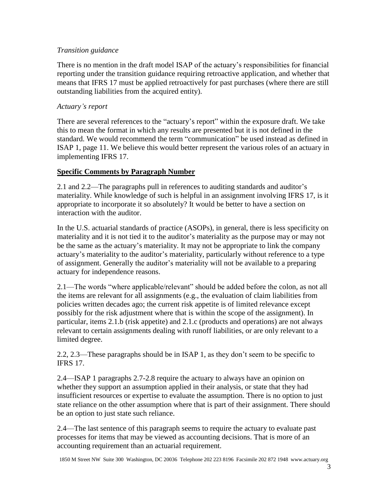### *Transition guidance*

There is no mention in the draft model ISAP of the actuary's responsibilities for financial reporting under the transition guidance requiring retroactive application, and whether that means that IFRS 17 must be applied retroactively for past purchases (where there are still outstanding liabilities from the acquired entity).

## *Actuary's report*

There are several references to the "actuary's report" within the exposure draft. We take this to mean the format in which any results are presented but it is not defined in the standard. We would recommend the term "communication" be used instead as defined in ISAP 1, page 11. We believe this would better represent the various roles of an actuary in implementing IFRS 17.

# **Specific Comments by Paragraph Number**

2.1 and 2.2—The paragraphs pull in references to auditing standards and auditor's materiality. While knowledge of such is helpful in an assignment involving IFRS 17, is it appropriate to incorporate it so absolutely? It would be better to have a section on interaction with the auditor.

In the U.S. actuarial standards of practice (ASOPs), in general, there is less specificity on materiality and it is not tied it to the auditor's materiality as the purpose may or may not be the same as the actuary's materiality. It may not be appropriate to link the company actuary's materiality to the auditor's materiality, particularly without reference to a type of assignment. Generally the auditor's materiality will not be available to a preparing actuary for independence reasons.

2.1—The words "where applicable/relevant" should be added before the colon, as not all the items are relevant for all assignments (e.g., the evaluation of claim liabilities from policies written decades ago; the current risk appetite is of limited relevance except possibly for the risk adjustment where that is within the scope of the assignment). In particular, items 2.1.b (risk appetite) and 2.1.c (products and operations) are not always relevant to certain assignments dealing with runoff liabilities, or are only relevant to a limited degree.

2.2, 2.3—These paragraphs should be in ISAP 1, as they don't seem to be specific to IFRS 17.

2.4—ISAP 1 paragraphs 2.7-2.8 require the actuary to always have an opinion on whether they support an assumption applied in their analysis, or state that they had insufficient resources or expertise to evaluate the assumption. There is no option to just state reliance on the other assumption where that is part of their assignment. There should be an option to just state such reliance.

2.4—The last sentence of this paragraph seems to require the actuary to evaluate past processes for items that may be viewed as accounting decisions. That is more of an accounting requirement than an actuarial requirement.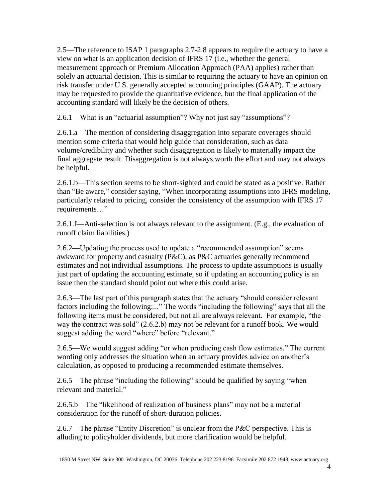2.5—The reference to ISAP 1 paragraphs 2.7-2.8 appears to require the actuary to have a view on what is an application decision of IFRS 17 (i.e., whether the general measurement approach or Premium Allocation Approach (PAA) applies) rather than solely an actuarial decision. This is similar to requiring the actuary to have an opinion on risk transfer under U.S. generally accepted accounting principles (GAAP). The actuary may be requested to provide the quantitative evidence, but the final application of the accounting standard will likely be the decision of others.

2.6.1—What is an "actuarial assumption"? Why not just say "assumptions"?

2.6.1.a—The mention of considering disaggregation into separate coverages should mention some criteria that would help guide that consideration, such as data volume/credibility and whether such disaggregation is likely to materially impact the final aggregate result. Disaggregation is not always worth the effort and may not always be helpful.

2.6.1.b—This section seems to be short-sighted and could be stated as a positive. Rather than "Be aware," consider saying, "When incorporating assumptions into IFRS modeling, particularly related to pricing, consider the consistency of the assumption with IFRS 17 requirements…"

2.6.1.f—Anti-selection is not always relevant to the assignment. (E.g., the evaluation of runoff claim liabilities.)

2.6.2—Updating the process used to update a "recommended assumption" seems awkward for property and casualty (P&C), as P&C actuaries generally recommend estimates and not individual assumptions. The process to update assumptions is usually just part of updating the accounting estimate, so if updating an accounting policy is an issue then the standard should point out where this could arise.

2.6.3—The last part of this paragraph states that the actuary "should consider relevant factors including the following:..." The words "including the following" says that all the following items must be considered, but not all are always relevant. For example, "the way the contract was sold" (2.6.2.b) may not be relevant for a runoff book. We would suggest adding the word "where" before "relevant."

2.6.5—We would suggest adding "or when producing cash flow estimates." The current wording only addresses the situation when an actuary provides advice on another's calculation, as opposed to producing a recommended estimate themselves.

2.6.5—The phrase "including the following" should be qualified by saying "when relevant and material."

2.6.5.b—The "likelihood of realization of business plans" may not be a material consideration for the runoff of short-duration policies.

2.6.7—The phrase "Entity Discretion" is unclear from the P&C perspective. This is alluding to policyholder dividends, but more clarification would be helpful.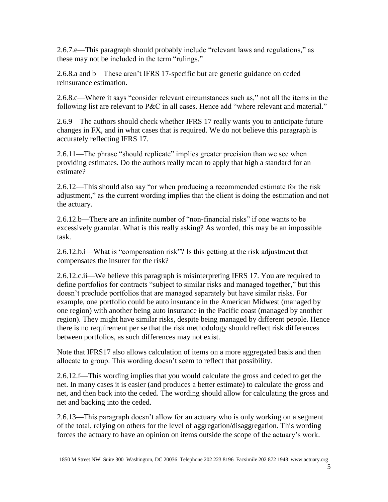2.6.7.e—This paragraph should probably include "relevant laws and regulations," as these may not be included in the term "rulings."

2.6.8.a and b—These aren't IFRS 17-specific but are generic guidance on ceded reinsurance estimation.

2.6.8.c—Where it says "consider relevant circumstances such as," not all the items in the following list are relevant to P&C in all cases. Hence add "where relevant and material."

2.6.9—The authors should check whether IFRS 17 really wants you to anticipate future changes in FX, and in what cases that is required. We do not believe this paragraph is accurately reflecting IFRS 17.

2.6.11—The phrase "should replicate" implies greater precision than we see when providing estimates. Do the authors really mean to apply that high a standard for an estimate?

2.6.12—This should also say "or when producing a recommended estimate for the risk adjustment," as the current wording implies that the client is doing the estimation and not the actuary.

2.6.12.b—There are an infinite number of "non-financial risks" if one wants to be excessively granular. What is this really asking? As worded, this may be an impossible task.

2.6.12.b.i—What is "compensation risk"? Is this getting at the risk adjustment that compensates the insurer for the risk?

2.6.12.c.ii—We believe this paragraph is misinterpreting IFRS 17. You are required to define portfolios for contracts "subject to similar risks and managed together," but this doesn't preclude portfolios that are managed separately but have similar risks. For example, one portfolio could be auto insurance in the American Midwest (managed by one region) with another being auto insurance in the Pacific coast (managed by another region). They might have similar risks, despite being managed by different people. Hence there is no requirement per se that the risk methodology should reflect risk differences between portfolios, as such differences may not exist.

Note that IFRS17 also allows calculation of items on a more aggregated basis and then allocate to group. This wording doesn't seem to reflect that possibility.

2.6.12.f—This wording implies that you would calculate the gross and ceded to get the net. In many cases it is easier (and produces a better estimate) to calculate the gross and net, and then back into the ceded. The wording should allow for calculating the gross and net and backing into the ceded.

2.6.13—This paragraph doesn't allow for an actuary who is only working on a segment of the total, relying on others for the level of aggregation/disaggregation. This wording forces the actuary to have an opinion on items outside the scope of the actuary's work.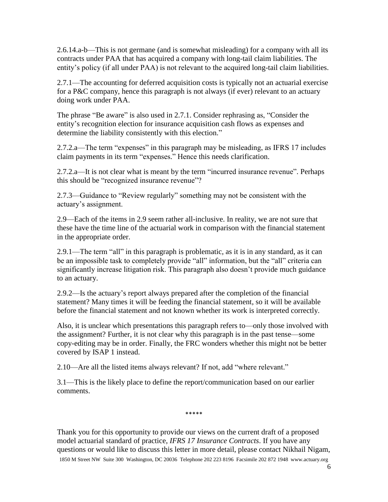2.6.14.a-b—This is not germane (and is somewhat misleading) for a company with all its contracts under PAA that has acquired a company with long-tail claim liabilities. The entity's policy (if all under PAA) is not relevant to the acquired long-tail claim liabilities.

2.7.1—The accounting for deferred acquisition costs is typically not an actuarial exercise for a P&C company, hence this paragraph is not always (if ever) relevant to an actuary doing work under PAA.

The phrase "Be aware" is also used in 2.7.1. Consider rephrasing as, "Consider the entity's recognition election for insurance acquisition cash flows as expenses and determine the liability consistently with this election."

2.7.2.a—The term "expenses" in this paragraph may be misleading, as IFRS 17 includes claim payments in its term "expenses." Hence this needs clarification.

2.7.2.a—It is not clear what is meant by the term "incurred insurance revenue". Perhaps this should be "recognized insurance revenue"?

2.7.3—Guidance to "Review regularly" something may not be consistent with the actuary's assignment.

2.9—Each of the items in 2.9 seem rather all-inclusive. In reality, we are not sure that these have the time line of the actuarial work in comparison with the financial statement in the appropriate order.

2.9.1—The term "all" in this paragraph is problematic, as it is in any standard, as it can be an impossible task to completely provide "all" information, but the "all" criteria can significantly increase litigation risk. This paragraph also doesn't provide much guidance to an actuary.

2.9.2—Is the actuary's report always prepared after the completion of the financial statement? Many times it will be feeding the financial statement, so it will be available before the financial statement and not known whether its work is interpreted correctly.

Also, it is unclear which presentations this paragraph refers to—only those involved with the assignment? Further, it is not clear why this paragraph is in the past tense—some copy-editing may be in order. Finally, the FRC wonders whether this might not be better covered by ISAP 1 instead.

2.10—Are all the listed items always relevant? If not, add "where relevant."

3.1—This is the likely place to define the report/communication based on our earlier comments.

1850 M Street NW Suite 300 Washington, DC 20036 Telephone 202 223 8196 Facsimile 202 872 1948 www.actuary.org Thank you for this opportunity to provide our views on the current draft of a proposed model actuarial standard of practice, *IFRS 17 Insurance Contracts*. If you have any questions or would like to discuss this letter in more detail, please contact Nikhail Nigam,

\*\*\*\*\*